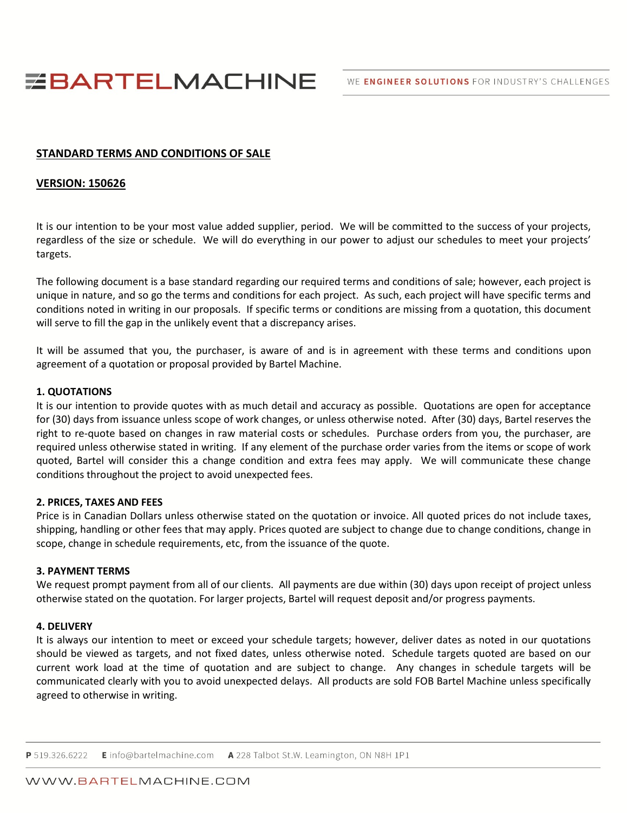WE ENGINEER SOLUTIONS FOR INDUSTRY'S CHALLENGES

# **EBARTELMACHINE**

# **STANDARD TERMS AND CONDITIONS OF SALE**

## **VERSION: 150626**

It is our intention to be your most value added supplier, period. We will be committed to the success of your projects, regardless of the size or schedule. We will do everything in our power to adjust our schedules to meet your projects' targets.

The following document is a base standard regarding our required terms and conditions of sale; however, each project is unique in nature, and so go the terms and conditions for each project. As such, each project will have specific terms and conditions noted in writing in our proposals. If specific terms or conditions are missing from a quotation, this document will serve to fill the gap in the unlikely event that a discrepancy arises.

It will be assumed that you, the purchaser, is aware of and is in agreement with these terms and conditions upon agreement of a quotation or proposal provided by Bartel Machine.

## **1. QUOTATIONS**

It is our intention to provide quotes with as much detail and accuracy as possible. Quotations are open for acceptance for (30) days from issuance unless scope of work changes, or unless otherwise noted. After (30) days, Bartel reserves the right to re-quote based on changes in raw material costs or schedules. Purchase orders from you, the purchaser, are required unless otherwise stated in writing. If any element of the purchase order varies from the items or scope of work quoted, Bartel will consider this a change condition and extra fees may apply. We will communicate these change conditions throughout the project to avoid unexpected fees.

## **2. PRICES, TAXES AND FEES**

Price is in Canadian Dollars unless otherwise stated on the quotation or invoice. All quoted prices do not include taxes, shipping, handling or other fees that may apply. Prices quoted are subject to change due to change conditions, change in scope, change in schedule requirements, etc, from the issuance of the quote.

#### **3. PAYMENT TERMS**

We request prompt payment from all of our clients. All payments are due within (30) days upon receipt of project unless otherwise stated on the quotation. For larger projects, Bartel will request deposit and/or progress payments.

## **4. DELIVERY**

It is always our intention to meet or exceed your schedule targets; however, deliver dates as noted in our quotations should be viewed as targets, and not fixed dates, unless otherwise noted. Schedule targets quoted are based on our current work load at the time of quotation and are subject to change. Any changes in schedule targets will be communicated clearly with you to avoid unexpected delays. All products are sold FOB Bartel Machine unless specifically agreed to otherwise in writing.

P 519.326.6222 E info@bartelmachine.com A 228 Talbot St.W. Leamington, ON N8H 1P1